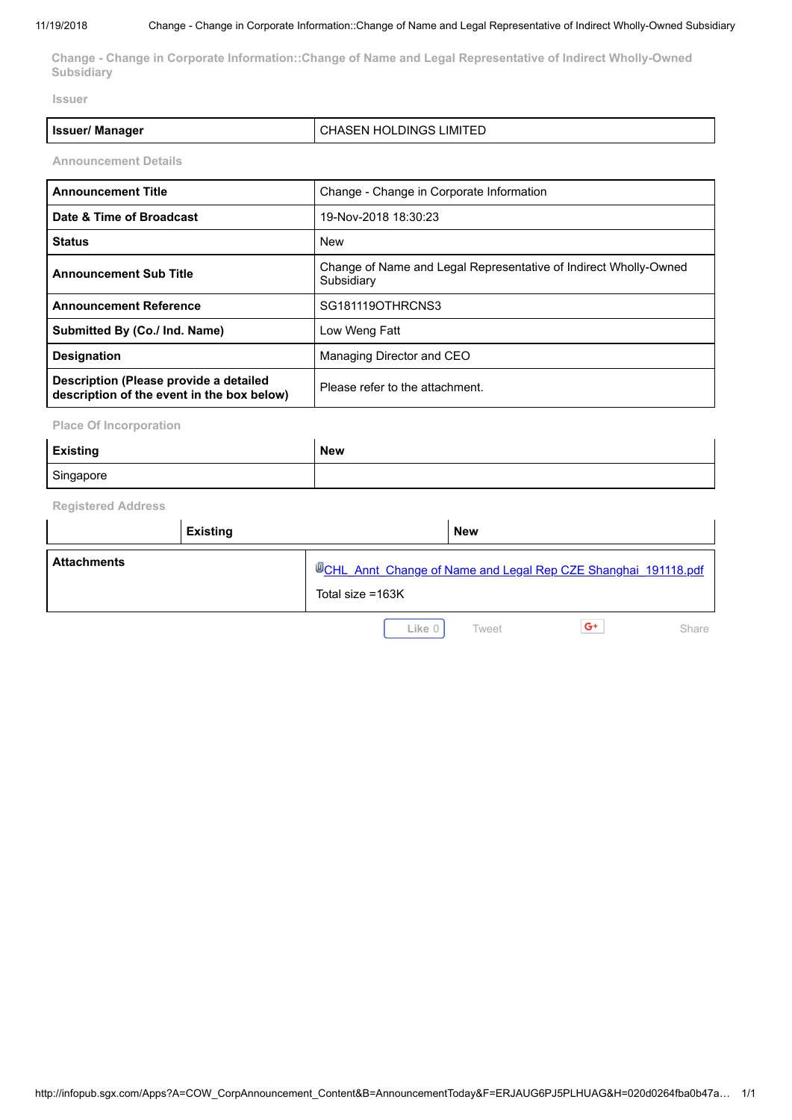**Change - Change in Corporate Information::Change of Name and Legal Representative of Indirect Wholly-Owned Subsidiary**

**Issuer**

| <b>Issuer/ Manager</b> | <b>CHASEN HOLDINGS LIMITED</b> |
|------------------------|--------------------------------|
|                        |                                |

**Announcement Details**

| <b>Announcement Title</b>                                                            | Change - Change in Corporate Information                                       |  |
|--------------------------------------------------------------------------------------|--------------------------------------------------------------------------------|--|
| Date & Time of Broadcast                                                             | 19-Nov-2018 18:30:23                                                           |  |
| <b>Status</b>                                                                        | New                                                                            |  |
| <b>Announcement Sub Title</b>                                                        | Change of Name and Legal Representative of Indirect Wholly-Owned<br>Subsidiary |  |
| <b>Announcement Reference</b>                                                        | SG181119OTHRCNS3                                                               |  |
| Submitted By (Co./ Ind. Name)                                                        | Low Weng Fatt                                                                  |  |
| <b>Designation</b>                                                                   | Managing Director and CEO                                                      |  |
| Description (Please provide a detailed<br>description of the event in the box below) | Please refer to the attachment.                                                |  |

**Place Of Incorporation**

| <b>Existing</b> | <b>New</b> |
|-----------------|------------|
| Singapore       |            |

**Registered Address**

|                    | <b>Existing</b> |                  | <b>New</b>                                                            |
|--------------------|-----------------|------------------|-----------------------------------------------------------------------|
| <b>Attachments</b> |                 | Total size =163K | <b>WCHL Annt Change of Name and Legal Rep CZE Shanghai 191118.pdf</b> |
|                    |                 | Like 0           | $G^+$<br>Tweet<br>Share                                               |